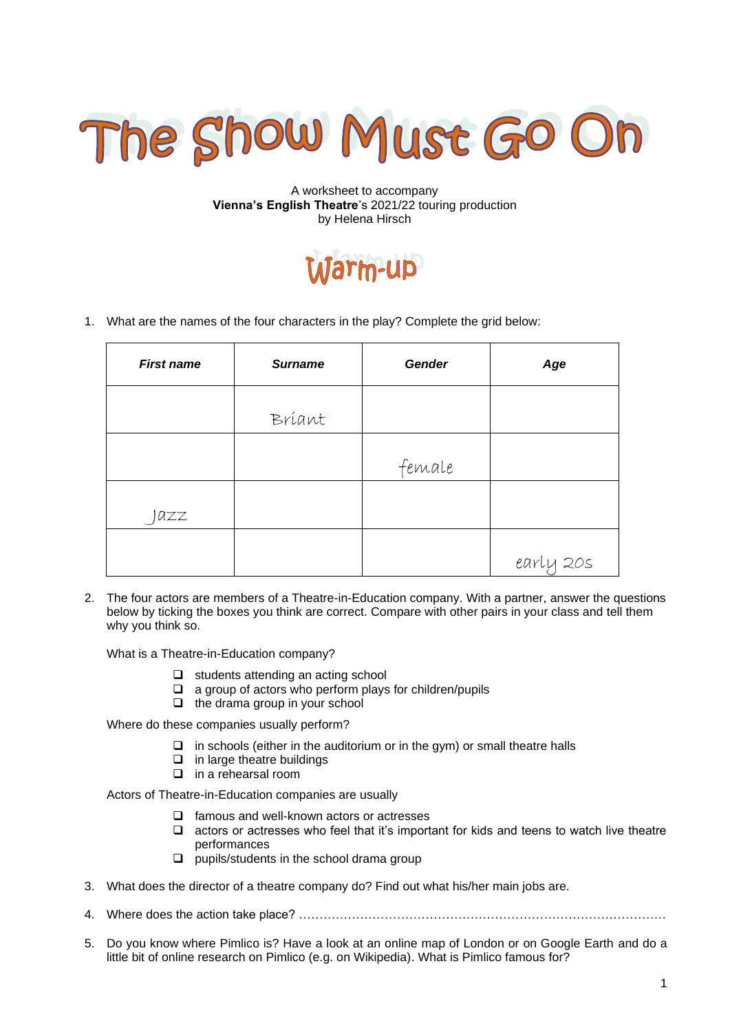

#### A worksheet to accompany **Vienna's English Theatre**'s 2021/22 touring production by Helena Hirsch

# Jarm-up

1. What are the names of the four characters in the play? Complete the grid below:

| <b>First name</b> | <b>Surname</b> | <b>Gender</b> | Age       |
|-------------------|----------------|---------------|-----------|
|                   | Bríant         |               |           |
|                   |                | female        |           |
| azz               |                |               |           |
|                   |                |               | early 20s |

2. The four actors are members of a Theatre-in-Education company. With a partner, answer the questions below by ticking the boxes you think are correct. Compare with other pairs in your class and tell them why you think so.

What is a Theatre-in-Education company?

- ❑ students attending an acting school
- ❑ a group of actors who perform plays for children/pupils
- ❑ the drama group in your school

Where do these companies usually perform?

- $\Box$  in schools (either in the auditorium or in the gym) or small theatre halls
- ❑ in large theatre buildings
- ❑ in a rehearsal room

Actors of Theatre-in-Education companies are usually

- ❑ famous and well-known actors or actresses
- ❑ actors or actresses who feel that it's important for kids and teens to watch live theatre performances
- ❑ pupils/students in the school drama group
- 3. What does the director of a theatre company do? Find out what his/her main jobs are.
- 4. Where does the action take place? ………………………………………………………………………………
- 5. Do you know where Pimlico is? Have a look at an online map of London or on Google Earth and do a little bit of online research on Pimlico (e.g. on Wikipedia). What is Pimlico famous for?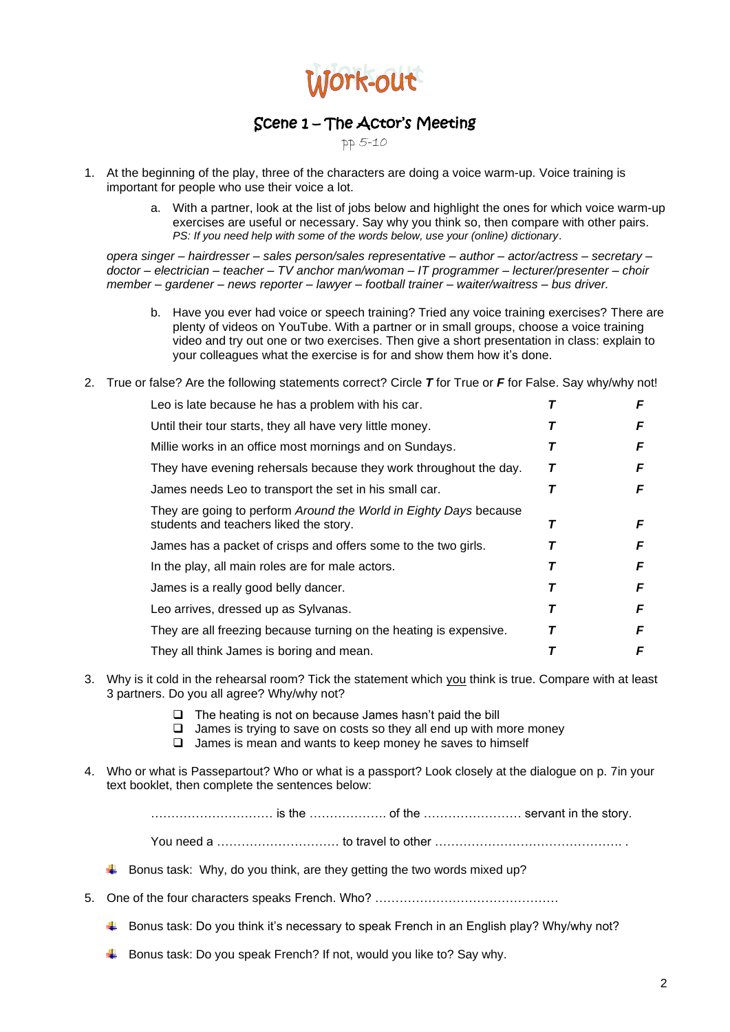

## Scene 1 – The Actor's Meeting

pp 5-10

- 1. At the beginning of the play, three of the characters are doing a voice warm-up. Voice training is important for people who use their voice a lot.
	- a. With a partner, look at the list of jobs below and highlight the ones for which voice warm-up exercises are useful or necessary. Say why you think so, then compare with other pairs. *PS: If you need help with some of the words below, use your (online) dictionary*.

*opera singer – hairdresser – sales person/sales representative – author – actor/actress – secretary – doctor – electrician – teacher – TV anchor man/woman – IT programmer – lecturer/presenter – choir member – gardener – news reporter – lawyer – football trainer – waiter/waitress – bus driver.*

- b. Have you ever had voice or speech training? Tried any voice training exercises? There are plenty of videos on YouTube. With a partner or in small groups, choose a voice training video and try out one or two exercises. Then give a short presentation in class: explain to your colleagues what the exercise is for and show them how it's done.
- 2. True or false? Are the following statements correct? Circle *T* for True or *F* for False. Say why/why not!

| Leo is late because he has a problem with his car.                                                          |   | F |
|-------------------------------------------------------------------------------------------------------------|---|---|
| Until their tour starts, they all have very little money.                                                   | T | F |
| Millie works in an office most mornings and on Sundays.                                                     | T | F |
| They have evening rehersals because they work throughout the day.                                           | Т | F |
| James needs Leo to transport the set in his small car.                                                      | Т | F |
| They are going to perform Around the World in Eighty Days because<br>students and teachers liked the story. | Τ | F |
| James has a packet of crisps and offers some to the two girls.                                              |   | F |
| In the play, all main roles are for male actors.                                                            |   | F |
| James is a really good belly dancer.                                                                        |   | F |
| Leo arrives, dressed up as Sylvanas.                                                                        |   | F |
| They are all freezing because turning on the heating is expensive.                                          | т | F |
| They all think James is boring and mean.                                                                    |   | F |

- 3. Why is it cold in the rehearsal room? Tick the statement which you think is true. Compare with at least 3 partners. Do you all agree? Why/why not?
	- ❑ The heating is not on because James hasn't paid the bill
	- ❑ James is trying to save on costs so they all end up with more money
	- ❑ James is mean and wants to keep money he saves to himself
- 4. Who or what is Passepartout? Who or what is a passport? Look closely at the dialogue on p. 7in your text booklet, then complete the sentences below:

………………………… is the ………………. of the …………………… servant in the story.

You need a ………………………… to travel to other ………………………………………. .

- $\ddot{\bullet}$  Bonus task: Why, do you think, are they getting the two words mixed up?
- 5. One of the four characters speaks French. Who? ………………………………………
	- Bonus task: Do you think it's necessary to speak French in an English play? Why/why not?
	- $\downarrow$  Bonus task: Do you speak French? If not, would you like to? Say why.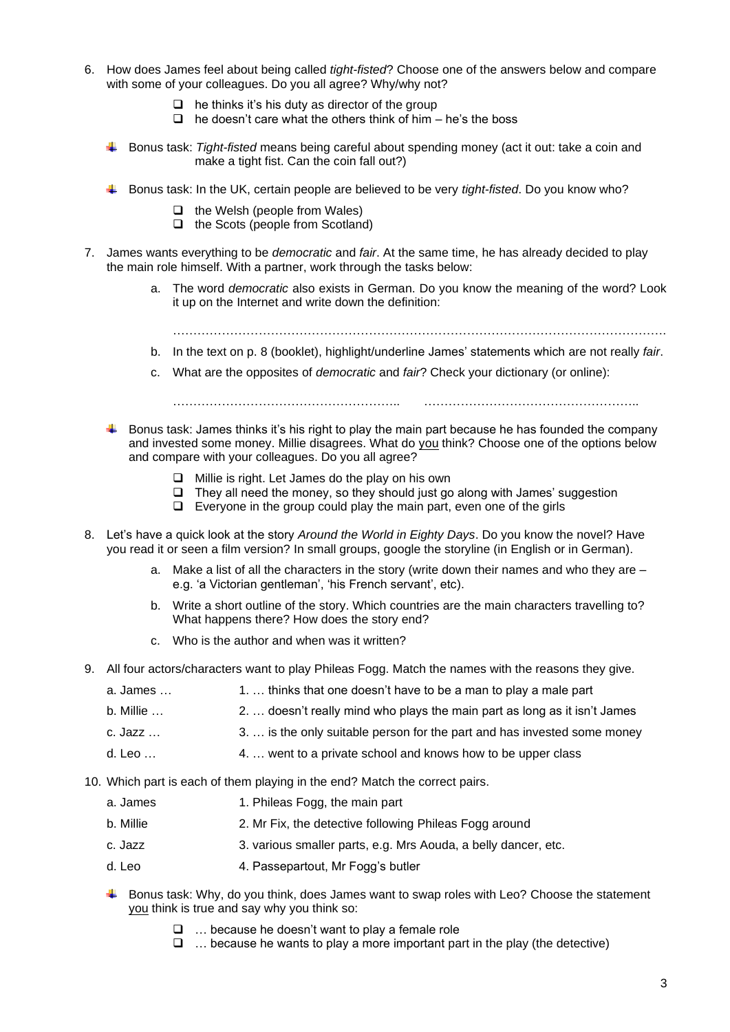- 6. How does James feel about being called *tight-fisted*? Choose one of the answers below and compare with some of your colleagues. Do you all agree? Why/why not?
	- $\Box$  he thinks it's his duty as director of the group
	- $\Box$  he doesn't care what the others think of him he's the boss
	- Bonus task: *Tight-fisted* means being careful about spending money (act it out: take a coin and make a tight fist. Can the coin fall out?)
	- Bonus task: In the UK, certain people are believed to be very *tight-fisted*. Do you know who?
		- ❑ the Welsh (people from Wales)
		- ❑ the Scots (people from Scotland)
- 7. James wants everything to be *democratic* and *fair*. At the same time, he has already decided to play the main role himself. With a partner, work through the tasks below:
	- a. The word *democratic* also exists in German. Do you know the meaning of the word? Look it up on the Internet and write down the definition:

………………………………………………………………………………………………………….

- b. In the text on p. 8 (booklet), highlight/underline James' statements which are not really *fair*.
- c. What are the opposites of *democratic* and *fair*? Check your dictionary (or online):

……………………………………………….. ……………………………………………..

- $\downarrow$  Bonus task: James thinks it's his right to play the main part because he has founded the company and invested some money. Millie disagrees. What do you think? Choose one of the options below and compare with your colleagues. Do you all agree?
	- ❑ Millie is right. Let James do the play on his own
	- ❑ They all need the money, so they should just go along with James' suggestion
	- ❑ Everyone in the group could play the main part, even one of the girls
- 8. Let's have a quick look at the story *Around the World in Eighty Days*. Do you know the novel? Have you read it or seen a film version? In small groups, google the storyline (in English or in German).
	- a. Make a list of all the characters in the story (write down their names and who they are e.g. 'a Victorian gentleman', 'his French servant', etc).
	- b. Write a short outline of the story. Which countries are the main characters travelling to? What happens there? How does the story end?
	- c. Who is the author and when was it written?
- 9. All four actors/characters want to play Phileas Fogg. Match the names with the reasons they give.
	- a. James ... 1. 1. … thinks that one doesn't have to be a man to play a male part
	- b. Millie … 2. … doesn't really mind who plays the main part as long as it isn't James
	- c. Jazz … 3. … is the only suitable person for the part and has invested some money
	- d. Leo … 4. … went to a private school and knows how to be upper class
- 10. Which part is each of them playing in the end? Match the correct pairs.
	- a. James 1. Phileas Fogg, the main part
	- b. Millie 2. Mr Fix, the detective following Phileas Fogg around
	- c. Jazz 3. various smaller parts, e.g. Mrs Aouda, a belly dancer, etc.
	- d. Leo 4. Passepartout, Mr Fogg's butler
	- $\blacktriangle$  Bonus task: Why, do you think, does James want to swap roles with Leo? Choose the statement you think is true and say why you think so:
		- ❑ … because he doesn't want to play a female role
		- $\Box$  ... because he wants to play a more important part in the play (the detective)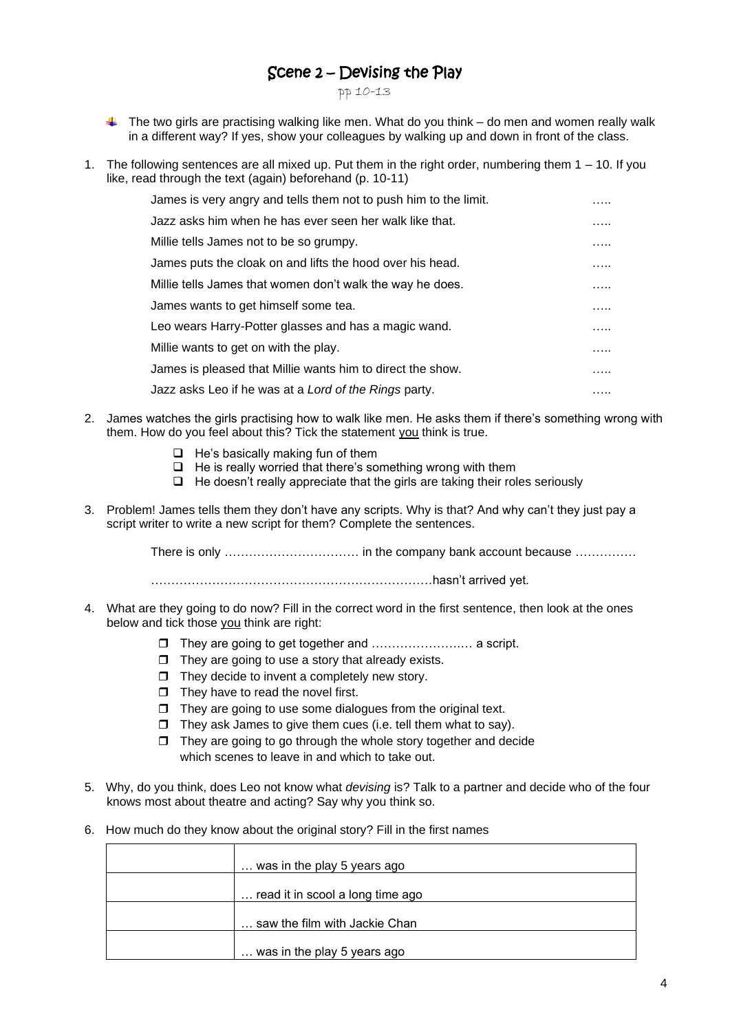## Scene 2 – Devising the Play

pp 10-13

- $\downarrow$  The two girls are practising walking like men. What do you think do men and women really walk in a different way? If yes, show your colleagues by walking up and down in front of the class.
- 1. The following sentences are all mixed up. Put them in the right order, numbering them 1 10. If you like, read through the text (again) beforehand (p. 10-11)

| James is very angry and tells them not to push him to the limit. | . |
|------------------------------------------------------------------|---|
| Jazz asks him when he has ever seen her walk like that.          | . |
| Millie tells James not to be so grumpy.                          | . |
| James puts the cloak on and lifts the hood over his head.        | . |
| Millie tells James that women don't walk the way he does.        | . |
| James wants to get himself some tea.                             | . |
| Leo wears Harry-Potter glasses and has a magic wand.             | . |
| Millie wants to get on with the play.                            | . |
| James is pleased that Millie wants him to direct the show.       | . |
| Jazz asks Leo if he was at a Lord of the Rings party.            | . |

- 2. James watches the girls practising how to walk like men. He asks them if there's something wrong with them. How do you feel about this? Tick the statement you think is true.
	- ❑ He's basically making fun of them
	- ❑ He is really worried that there's something wrong with them
	- ❑ He doesn't really appreciate that the girls are taking their roles seriously
- 3. Problem! James tells them they don't have any scripts. Why is that? And why can't they just pay a script writer to write a new script for them? Complete the sentences.

There is only …………………………… in the company bank account because ……………

……………………………………………………………hasn't arrived yet.

- 4. What are they going to do now? Fill in the correct word in the first sentence, then look at the ones below and tick those you think are right:
	- They are going to get together and ………………….… a script.
	- $\Box$  They are going to use a story that already exists.
	- $\Box$  They decide to invent a completely new story.
	- $\Box$  They have to read the novel first.
	- $\Box$  They are going to use some dialogues from the original text.
	- $\Box$  They ask James to give them cues (i.e. tell them what to say).
	- $\Box$  They are going to go through the whole story together and decide which scenes to leave in and which to take out.
- 5. Why, do you think, does Leo not know what *devising* is? Talk to a partner and decide who of the four knows most about theatre and acting? Say why you think so.
- 6. How much do they know about the original story? Fill in the first names

| was in the play 5 years ago      |
|----------------------------------|
| read it in scool a long time ago |
| saw the film with Jackie Chan    |
| was in the play 5 years ago      |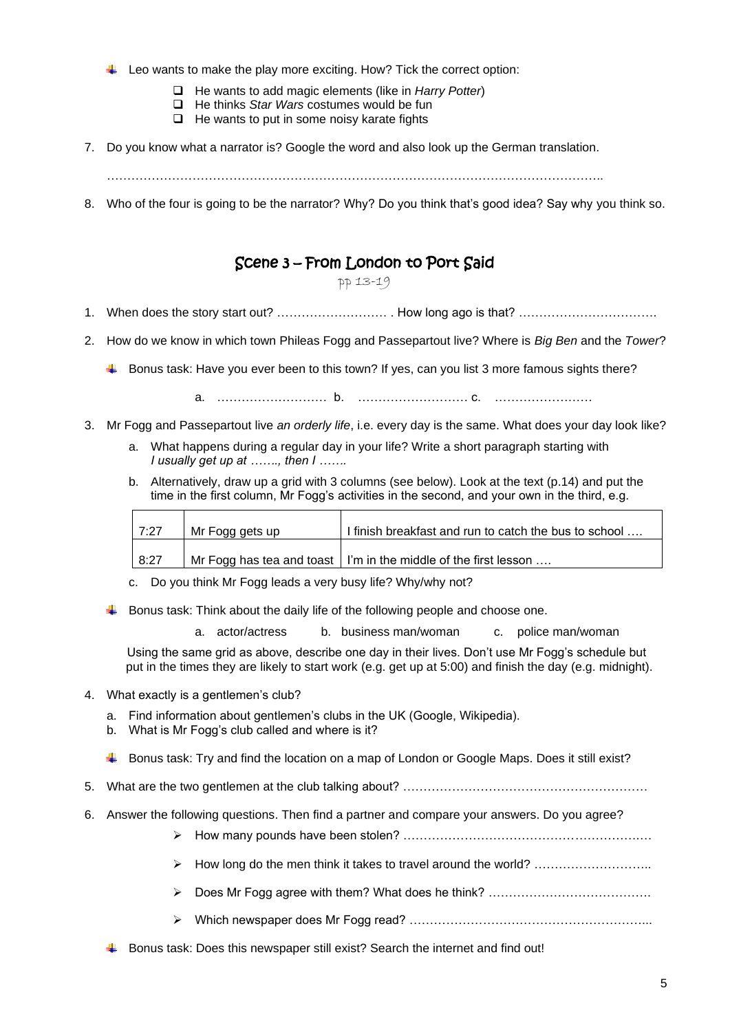- $\ddot{\phantom{1}}$  Leo wants to make the play more exciting. How? Tick the correct option:
	- ❑ He wants to add magic elements (like in *Harry Potter*)
	- ❑ He thinks *Star Wars* costumes would be fun
	- ❑ He wants to put in some noisy karate fights
- 7. Do you know what a narrator is? Google the word and also look up the German translation.

8. Who of the four is going to be the narrator? Why? Do you think that's good idea? Say why you think so.

## Scene 3 – From London to Port Said

## pp 13-19

- 1. When does the story start out? ……………………… . How long ago is that? …………………………….
- 2. How do we know in which town Phileas Fogg and Passepartout live? Where is *Big Ben* and the *Tower*?
	- Bonus task: Have you ever been to this town? If yes, can you list 3 more famous sights there?

a. ……………………… b. ……………………… c. ……………………

- 3. Mr Fogg and Passepartout live *an orderly life*, i.e. every day is the same. What does your day look like?
	- a. What happens during a regular day in your life? Write a short paragraph starting with *I usually get up at ……., then I …….*
	- b. Alternatively, draw up a grid with 3 columns (see below). Look at the text (p.14) and put the time in the first column, Mr Fogg's activities in the second, and your own in the third, e.g.

| 7:27 | Mr Fogg gets up | I finish breakfast and run to catch the bus to school                   |
|------|-----------------|-------------------------------------------------------------------------|
| 8:27 |                 | Mr Fogg has tea and toast $\vert$ I'm in the middle of the first lesson |

- c. Do you think Mr Fogg leads a very busy life? Why/why not?
- $\ddot{\phantom{1}}$  Bonus task: Think about the daily life of the following people and choose one.

a. actor/actress b. business man/woman c. police man/woman

 Using the same grid as above, describe one day in their lives. Don't use Mr Fogg's schedule but put in the times they are likely to start work (e.g. get up at 5:00) and finish the day (e.g. midnight).

- 4. What exactly is a gentlemen's club?
	- a. Find information about gentlemen's clubs in the UK (Google, Wikipedia).
	- b. What is Mr Fogg's club called and where is it?
	- Bonus task: Try and find the location on a map of London or Google Maps. Does it still exist?
- 5. What are the two gentlemen at the club talking about? ……………………………………………………
- 6. Answer the following questions. Then find a partner and compare your answers. Do you agree?
	- ➢ How many pounds have been stolen? ………………………………………………….…
	- ➢ How long do the men think it takes to travel around the world? ………………………..
	- ➢ Does Mr Fogg agree with them? What does he think? ………………………………….
	- ➢ Which newspaper does Mr Fogg read? …………………………………………………...
	- $\blacktriangle$  Bonus task: Does this newspaper still exist? Search the internet and find out!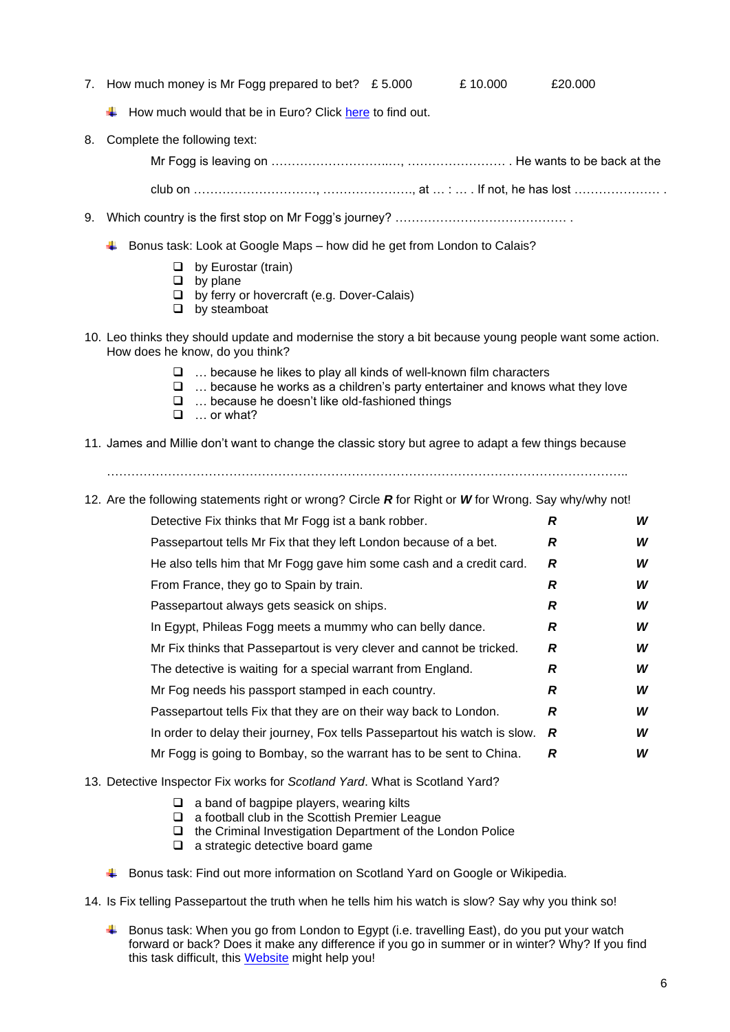- 7. How much money is Mr Fogg prepared to bet?  $£ 5.000$   $£ 10.000$   $£20.000$ 
	-

- How much would that be in Euro? Click [here](https://www.google.com/search?client=firefox-b-d&q=gbp) to find out.
- 8. Complete the following text:
	- Mr Fogg is leaving on ………………………..…, …………………… . He wants to be back at the

club on …………………………, …………………., at … : … . If not, he has lost ………………… .

- 9. Which country is the first stop on Mr Fogg's journey? ……………………………………………………………
	- $\ddot{\bullet}$  Bonus task: Look at Google Maps how did he get from London to Calais?
		- ❑ by Eurostar (train)
		- ❑ by plane
		- ❑ by ferry or hovercraft (e.g. Dover-Calais)
		- ❑ by steamboat
- 10. Leo thinks they should update and modernise the story a bit because young people want some action. How does he know, do you think?
	- ❑ … because he likes to play all kinds of well-known film characters
	- ❑ … because he works as a children's party entertainer and knows what they love
	- ❑ … because he doesn't like old-fashioned things
	- ❑ … or what?
- 11. James and Millie don't want to change the classic story but agree to adapt a few things because
	- ………………………………………………………………………………………………………………..
- 12. Are the following statements right or wrong? Circle *R* for Right or *W* for Wrong. Say why/why not!

| Detective Fix thinks that Mr Fogg ist a bank robber.                       | R | W |
|----------------------------------------------------------------------------|---|---|
| Passepartout tells Mr Fix that they left London because of a bet.          | R | W |
| He also tells him that Mr Fogg gave him some cash and a credit card.       | R | W |
| From France, they go to Spain by train.                                    | R | W |
| Passepartout always gets seasick on ships.                                 | R | W |
| In Egypt, Phileas Fogg meets a mummy who can belly dance.                  | R | W |
| Mr Fix thinks that Passepartout is very clever and cannot be tricked.      | R | W |
| The detective is waiting for a special warrant from England.               | R | W |
| Mr Fog needs his passport stamped in each country.                         | R | W |
| Passepartout tells Fix that they are on their way back to London.          | R | W |
| In order to delay their journey, Fox tells Passepartout his watch is slow. | R | W |
| Mr Fogg is going to Bombay, so the warrant has to be sent to China.        | R | W |

#### 13. Detective Inspector Fix works for *Scotland Yard*. What is Scotland Yard?

- ❑ a band of bagpipe players, wearing kilts
- ❑ a football club in the Scottish Premier League
- ❑ the Criminal Investigation Department of the London Police
- ❑ a strategic detective board game
- Bonus task: Find out more information on Scotland Yard on Google or Wikipedia.
- 14. Is Fix telling Passepartout the truth when he tells him his watch is slow? Say why you think so!
	- Bonus task: When you go from London to Egypt (i.e. travelling East), do you put your watch forward or back? Does it make any difference if you go in summer or in winter? Why? If you find this task difficult, this [Website](https://www.timeanddate.de/zeitzonen/zeitzonenrechner) might help you!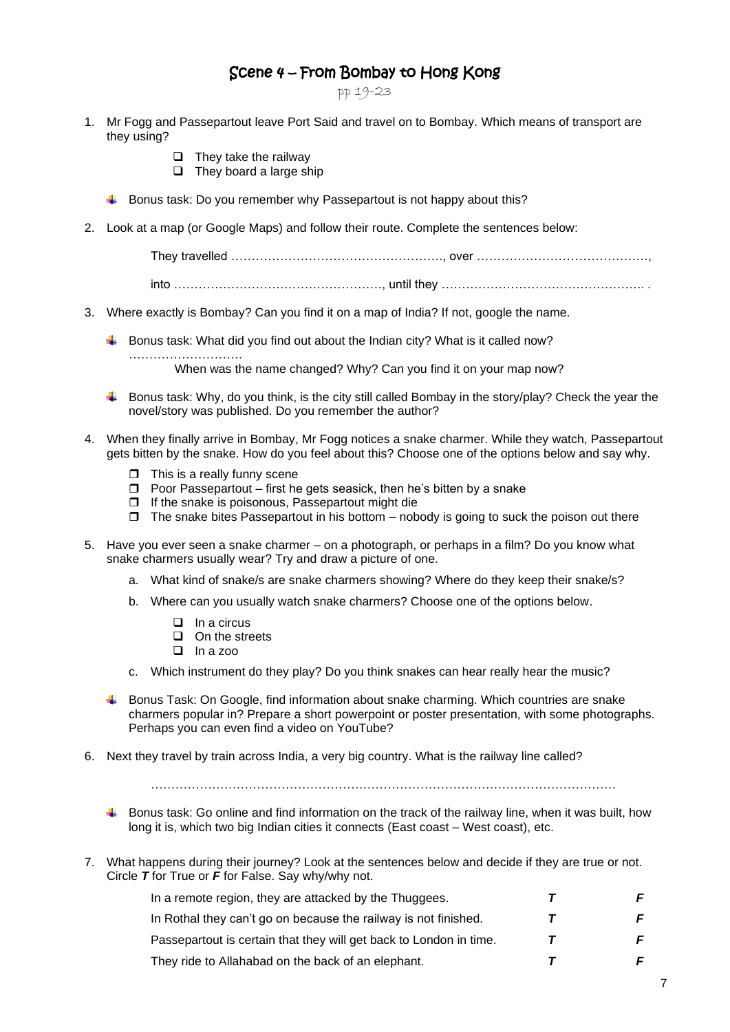### Scene 4 – From Bombay to Hong Kong

pp 19-23

- 1. Mr Fogg and Passepartout leave Port Said and travel on to Bombay. Which means of transport are they using?
	- ❑ They take the railway

❑ They board a large ship

- $\ddot{\bullet}$  Bonus task: Do you remember why Passepartout is not happy about this?
- 2. Look at a map (or Google Maps) and follow their route. Complete the sentences below:

They travelled ……………………………………………., over ……………………………………,

into ……………………………………………, until they ………………………………………….. .

- 3. Where exactly is Bombay? Can you find it on a map of India? If not, google the name.
	- $\ddot{\phantom{1}}$  Bonus task: What did you find out about the Indian city? What is it called now?

When was the name changed? Why? Can you find it on your map now?

- Bonus task: Why, do you think, is the city still called Bombay in the story/play? Check the year the novel/story was published. Do you remember the author?
- 4. When they finally arrive in Bombay, Mr Fogg notices a snake charmer. While they watch, Passepartout gets bitten by the snake. How do you feel about this? Choose one of the options below and say why.
	- $\Box$  This is a really funny scene

…………………………

- $\Box$  Poor Passepartout first he gets seasick, then he's bitten by a snake
- $\Box$  If the snake is poisonous, Passepartout might die
- $\Box$  The snake bites Passepartout in his bottom nobody is going to suck the poison out there
- 5. Have you ever seen a snake charmer on a photograph, or perhaps in a film? Do you know what snake charmers usually wear? Try and draw a picture of one.
	- a. What kind of snake/s are snake charmers showing? Where do they keep their snake/s?
	- b. Where can you usually watch snake charmers? Choose one of the options below.
		- ❑ In a circus
		- ❑ On the streets
		- ❑ In a zoo
	- c. Which instrument do they play? Do you think snakes can hear really hear the music?
	- $\blacktriangle$  Bonus Task: On Google, find information about snake charming. Which countries are snake charmers popular in? Prepare a short powerpoint or poster presentation, with some photographs. Perhaps you can even find a video on YouTube?
- 6. Next they travel by train across India, a very big country. What is the railway line called?

……………………………………………………………………………………………………

- Bonus task: Go online and find information on the track of the railway line, when it was built, how long it is, which two big Indian cities it connects (East coast – West coast), etc.
- 7. What happens during their journey? Look at the sentences below and decide if they are true or not. Circle *T* for True or *F* for False. Say why/why not.

| In a remote region, they are attacked by the Thuggees.             |   |  |
|--------------------------------------------------------------------|---|--|
| In Rothal they can't go on because the railway is not finished.    | T |  |
| Passepartout is certain that they will get back to London in time. |   |  |
| They ride to Allahabad on the back of an elephant.                 |   |  |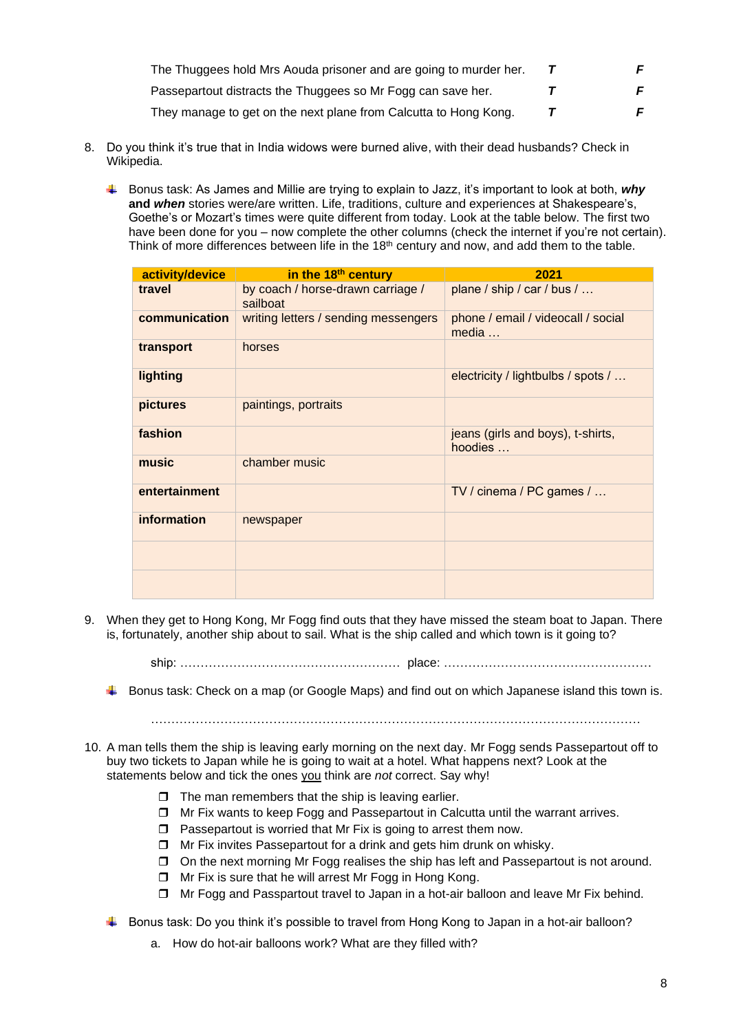| The Thuggees hold Mrs Aouda prisoner and are going to murder her. |    |
|-------------------------------------------------------------------|----|
| Passepartout distracts the Thuggees so Mr Fogg can save her.      | F. |
| They manage to get on the next plane from Calcutta to Hong Kong.  |    |

- 8. Do you think it's true that in India widows were burned alive, with their dead husbands? Check in Wikipedia.
	- Bonus task: As James and Millie are trying to explain to Jazz, it's important to look at both, *why* **and** *when* stories were/are written. Life, traditions, culture and experiences at Shakespeare's, Goethe's or Mozart's times were quite different from today. Look at the table below. The first two have been done for you – now complete the other columns (check the internet if you're not certain). Think of more differences between life in the 18<sup>th</sup> century and now, and add them to the table.

| activity/device | in the 18 <sup>th</sup> century               | 2021                                         |
|-----------------|-----------------------------------------------|----------------------------------------------|
| travel          | by coach / horse-drawn carriage /<br>sailboat | plane / ship / car / bus /                   |
| communication   | writing letters / sending messengers          | phone / email / videocall / social<br>media  |
| transport       | horses                                        |                                              |
| lighting        |                                               | electricity / lightbulbs / spots /           |
| pictures        | paintings, portraits                          |                                              |
| fashion         |                                               | jeans (girls and boys), t-shirts,<br>hoodies |
| music           | chamber music                                 |                                              |
| entertainment   |                                               | TV / cinema / PC games /                     |
| information     | newspaper                                     |                                              |
|                 |                                               |                                              |
|                 |                                               |                                              |

9. When they get to Hong Kong, Mr Fogg find outs that they have missed the steam boat to Japan. There is, fortunately, another ship about to sail. What is the ship called and which town is it going to?

ship: ……………………………………………… place: ……………………………………………

- Bonus task: Check on a map (or Google Maps) and find out on which Japanese island this town is.
	- …………………………………………………………………………………………………………
- 10. A man tells them the ship is leaving early morning on the next day. Mr Fogg sends Passepartout off to buy two tickets to Japan while he is going to wait at a hotel. What happens next? Look at the statements below and tick the ones you think are *not* correct. Say why!
	- $\Box$  The man remembers that the ship is leaving earlier.
	- $\Box$  Mr Fix wants to keep Fogg and Passepartout in Calcutta until the warrant arrives.
	- $\Box$  Passepartout is worried that Mr Fix is going to arrest them now.
	- $\Box$  Mr Fix invites Passepartout for a drink and gets him drunk on whisky.
	- On the next morning Mr Fogg realises the ship has left and Passepartout is not around.
	- □ Mr Fix is sure that he will arrest Mr Fogg in Hong Kong.
	- Mr Fogg and Passpartout travel to Japan in a hot-air balloon and leave Mr Fix behind.
	- $\ddot{\bullet}$  Bonus task: Do you think it's possible to travel from Hong Kong to Japan in a hot-air balloon?
		- a. How do hot-air balloons work? What are they filled with?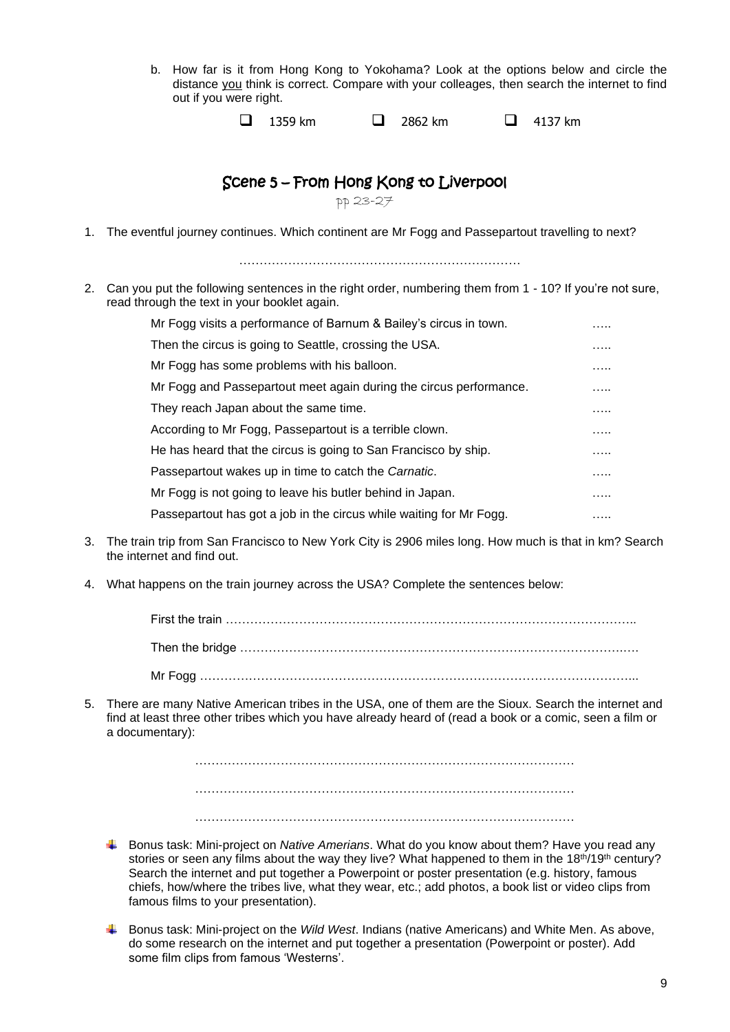b. How far is it from Hong Kong to Yokohama? Look at the options below and circle the distance you think is correct. Compare with your colleages, then search the internet to find out if you were right.

| $\Box$ 4137 km<br>$\Box$ 2862 km<br>1359 km |
|---------------------------------------------|
|---------------------------------------------|

## Scene 5 – From Hong Kong to Liverpool

pp 23-27

1. The eventful journey continues. Which continent are Mr Fogg and Passepartout travelling to next?

……………………………………………………………

2. Can you put the following sentences in the right order, numbering them from 1 - 10? If you're not sure, read through the text in your booklet again.

| Mr Fogg visits a performance of Barnum & Bailey's circus in town.   | . |
|---------------------------------------------------------------------|---|
| Then the circus is going to Seattle, crossing the USA.              | . |
| Mr Fogg has some problems with his balloon.                         | . |
| Mr Fogg and Passepartout meet again during the circus performance.  | . |
| They reach Japan about the same time.                               | . |
| According to Mr Fogg, Passepartout is a terrible clown.             | . |
| He has heard that the circus is going to San Francisco by ship.     | . |
| Passepartout wakes up in time to catch the Carnatic.                | . |
| Mr Fogg is not going to leave his butler behind in Japan.           | . |
| Passepartout has got a job in the circus while waiting for Mr Fogg. | . |

- 3. The train trip from San Francisco to New York City is 2906 miles long. How much is that in km? Search the internet and find out.
- 4. What happens on the train journey across the USA? Complete the sentences below:

First the train ……………………………………………………………………………………….. Then the bridge ………………………………………………………………………………….…. Mr Fogg ……………………………………………………………………………………………...

5. There are many Native American tribes in the USA, one of them are the Sioux. Search the internet and find at least three other tribes which you have already heard of (read a book or a comic, seen a film or a documentary):

> ………………………………………………………………………………… …………………………………………………………………………………

> …………………………………………………………………………………

- Bonus task: Mini-project on *Native Amerians*. What do you know about them? Have you read any stories or seen any films about the way they live? What happened to them in the  $18<sup>th</sup>/19<sup>th</sup>$  century? Search the internet and put together a Powerpoint or poster presentation (e.g. history, famous chiefs, how/where the tribes live, what they wear, etc.; add photos, a book list or video clips from famous films to your presentation).
- Bonus task: Mini-project on the *Wild West*. Indians (native Americans) and White Men. As above, do some research on the internet and put together a presentation (Powerpoint or poster). Add some film clips from famous 'Westerns'.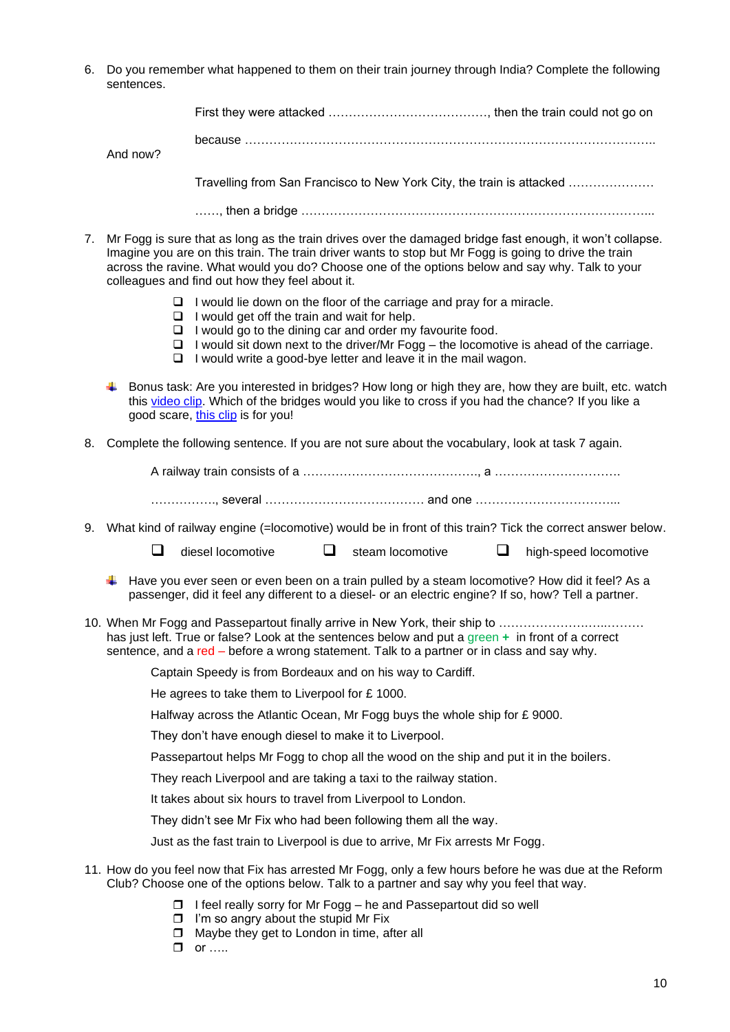6. Do you remember what happened to them on their train journey through India? Complete the following sentences.

|    | SCHICHUCS.    |                                                                                                                                                                                                                                                                                                                                                                         |   |                  |   |                       |  |
|----|---------------|-------------------------------------------------------------------------------------------------------------------------------------------------------------------------------------------------------------------------------------------------------------------------------------------------------------------------------------------------------------------------|---|------------------|---|-----------------------|--|
|    |               |                                                                                                                                                                                                                                                                                                                                                                         |   |                  |   |                       |  |
|    |               | because ……………………………………………………………………………………………                                                                                                                                                                                                                                                                                                                             |   |                  |   |                       |  |
|    | And now?      |                                                                                                                                                                                                                                                                                                                                                                         |   |                  |   |                       |  |
|    |               | Travelling from San Francisco to New York City, the train is attacked                                                                                                                                                                                                                                                                                                   |   |                  |   |                       |  |
|    |               |                                                                                                                                                                                                                                                                                                                                                                         |   |                  |   |                       |  |
| 7. |               | Mr Fogg is sure that as long as the train drives over the damaged bridge fast enough, it won't collapse.<br>Imagine you are on this train. The train driver wants to stop but Mr Fogg is going to drive the train<br>across the ravine. What would you do? Choose one of the options below and say why. Talk to your<br>colleagues and find out how they feel about it. |   |                  |   |                       |  |
|    |               | $\Box$ I would lie down on the floor of the carriage and pray for a miracle.<br>$\Box$ I would get off the train and wait for help.                                                                                                                                                                                                                                     |   |                  |   |                       |  |
|    | ⊔.<br>⊔<br>u. | I would go to the dining car and order my favourite food.<br>I would sit down next to the driver/Mr Fogg – the locomotive is ahead of the carriage.<br>I would write a good-bye letter and leave it in the mail wagon.                                                                                                                                                  |   |                  |   |                       |  |
|    |               | Bonus task: Are you interested in bridges? How long or high they are, how they are built, etc. watch<br>this video clip. Which of the bridges would you like to cross if you had the chance? If you like a<br>good scare, this clip is for you!                                                                                                                         |   |                  |   |                       |  |
| 8. |               | Complete the following sentence. If you are not sure about the vocabulary, look at task 7 again.                                                                                                                                                                                                                                                                        |   |                  |   |                       |  |
|    |               |                                                                                                                                                                                                                                                                                                                                                                         |   |                  |   |                       |  |
|    |               |                                                                                                                                                                                                                                                                                                                                                                         |   |                  |   |                       |  |
|    |               | 9. What kind of railway engine (=locomotive) would be in front of this train? Tick the correct answer below.                                                                                                                                                                                                                                                            |   |                  |   |                       |  |
|    | ⊔             | diesel locomotive                                                                                                                                                                                                                                                                                                                                                       | ⊔ | steam locomotive | ⊔ | high-speed locomotive |  |
|    |               | Have you ever seen or even been on a train pulled by a steam locomotive? How did it feel? As a<br>passenger, did it feel any different to a diesel- or an electric engine? If so, how? Tell a partner.                                                                                                                                                                  |   |                  |   |                       |  |
|    |               | 10. When Mr Fogg and Passepartout finally arrive in New York, their ship to<br>has just left. True or false? Look at the sentences below and put a green + in front of a correct<br>sentence, and a red – before a wrong statement. Talk to a partner or in class and say why.                                                                                          |   |                  |   |                       |  |
|    |               | Captain Speedy is from Bordeaux and on his way to Cardiff.                                                                                                                                                                                                                                                                                                              |   |                  |   |                       |  |
|    |               | He agrees to take them to Liverpool for £1000.                                                                                                                                                                                                                                                                                                                          |   |                  |   |                       |  |
|    |               | Halfway across the Atlantic Ocean, Mr Fogg buys the whole ship for $E$ 9000.                                                                                                                                                                                                                                                                                            |   |                  |   |                       |  |
|    |               | They don't have enough diesel to make it to Liverpool.                                                                                                                                                                                                                                                                                                                  |   |                  |   |                       |  |
|    |               | Passepartout helps Mr Fogg to chop all the wood on the ship and put it in the boilers.                                                                                                                                                                                                                                                                                  |   |                  |   |                       |  |
|    |               | They reach Liverpool and are taking a taxi to the railway station.                                                                                                                                                                                                                                                                                                      |   |                  |   |                       |  |
|    |               | It takes about six hours to travel from Liverpool to London.                                                                                                                                                                                                                                                                                                            |   |                  |   |                       |  |
|    |               | They didn't see Mr Fix who had been following them all the way.                                                                                                                                                                                                                                                                                                         |   |                  |   |                       |  |
|    |               | Just as the fast train to Liverpool is due to arrive, Mr Fix arrests Mr Fogg.                                                                                                                                                                                                                                                                                           |   |                  |   |                       |  |
|    |               | 11. How do you feel now that Fix has arrested Mr Fogg, only a few hours before he was due at the Reform<br>Club? Choose one of the options below. Talk to a partner and say why you feel that way.                                                                                                                                                                      |   |                  |   |                       |  |

- $\Box$  I feel really sorry for Mr Fogg he and Passepartout did so well
- $\Box$  I'm so angry about the stupid Mr Fix
- $\Box$  Maybe they get to London in time, after all
- $\Box$  or  $\ldots$ .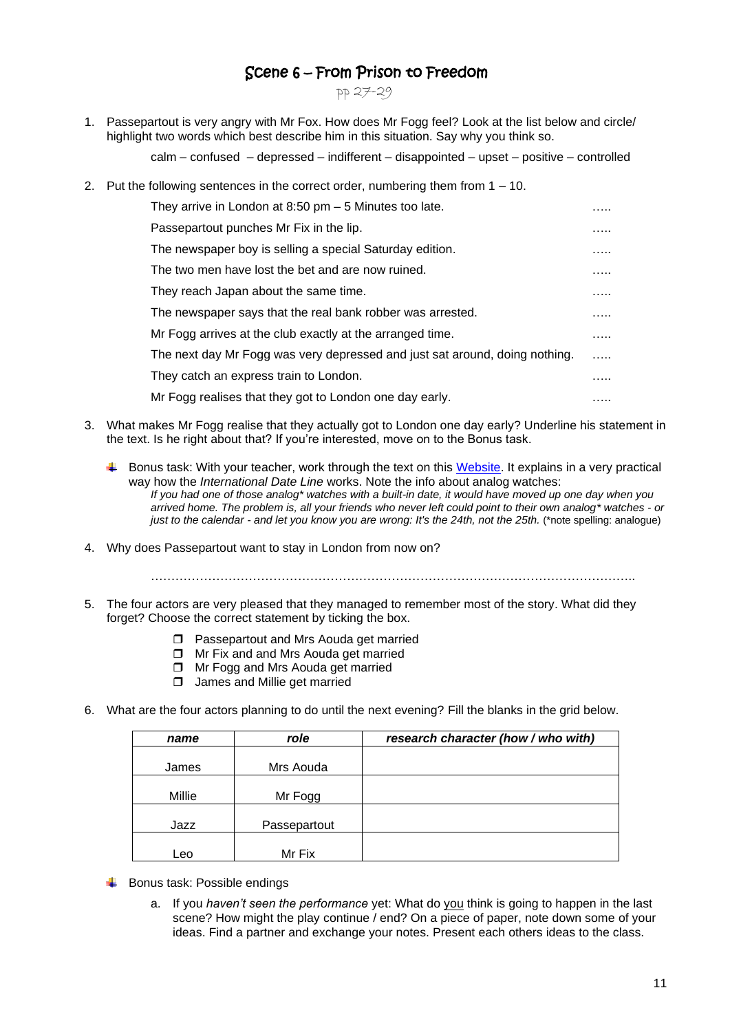## Scene 6 – From Prison to Freedom

pp 27-29

1. Passepartout is very angry with Mr Fox. How does Mr Fogg feel? Look at the list below and circle/ highlight two words which best describe him in this situation. Say why you think so.

calm – confused – depressed – indifferent – disappointed – upset – positive – controlled

2. Put the following sentences in the correct order, numbering them from 1 – 10.

| They arrive in London at 8:50 pm $-5$ Minutes too late.                     | . |
|-----------------------------------------------------------------------------|---|
| Passepartout punches Mr Fix in the lip.                                     | . |
| The newspaper boy is selling a special Saturday edition.                    | . |
| The two men have lost the bet and are now ruined.                           | . |
| They reach Japan about the same time.                                       | . |
| The newspaper says that the real bank robber was arrested.                  | . |
| Mr Fogg arrives at the club exactly at the arranged time.                   | . |
| The next day Mr Fogg was very depressed and just sat around, doing nothing. | . |
| They catch an express train to London.                                      | . |
| Mr Fogg realises that they got to London one day early.                     | . |

- 3. What makes Mr Fogg realise that they actually got to London one day early? Underline his statement in the text. Is he right about that? If you're interested, move on to the Bonus task.
	- Bonus task: With your teacher, work through the text on this [Website.](https://www.thoughtco.com/international-date-line-1435332) It explains in a very practical way how the *International Date Line* works. Note the info about analog watches: *If you had one of those analog\* watches with a built-in date, it would have moved up one day when you arrived home. The problem is, all your friends who never left could point to their own analog\* watches - or just to the calendar - and let you know you are wrong: It's the 24th, not the 25th. (\*note spelling: analogue)*
- 4. Why does Passepartout want to stay in London from now on?

………………………………………………………………………………………………………..

- 5. The four actors are very pleased that they managed to remember most of the story. What did they forget? Choose the correct statement by ticking the box.
	- **Passepartout and Mrs Aouda get married**
	- □ Mr Fix and and Mrs Aouda get married
	- □ Mr Fogg and Mrs Aouda get married
	- **James and Millie get married**
- 6. What are the four actors planning to do until the next evening? Fill the blanks in the grid below.

| name   | role         | research character (how / who with) |  |  |
|--------|--------------|-------------------------------------|--|--|
|        |              |                                     |  |  |
| James  | Mrs Aouda    |                                     |  |  |
| Millie | Mr Fogg      |                                     |  |  |
| Jazz   | Passepartout |                                     |  |  |
| Leo    | Mr Fix       |                                     |  |  |

- $\overline{\phantom{a}}$  Bonus task: Possible endings
	- a. If you *haven't seen the performance* yet: What do you think is going to happen in the last scene? How might the play continue / end? On a piece of paper, note down some of your ideas. Find a partner and exchange your notes. Present each others ideas to the class.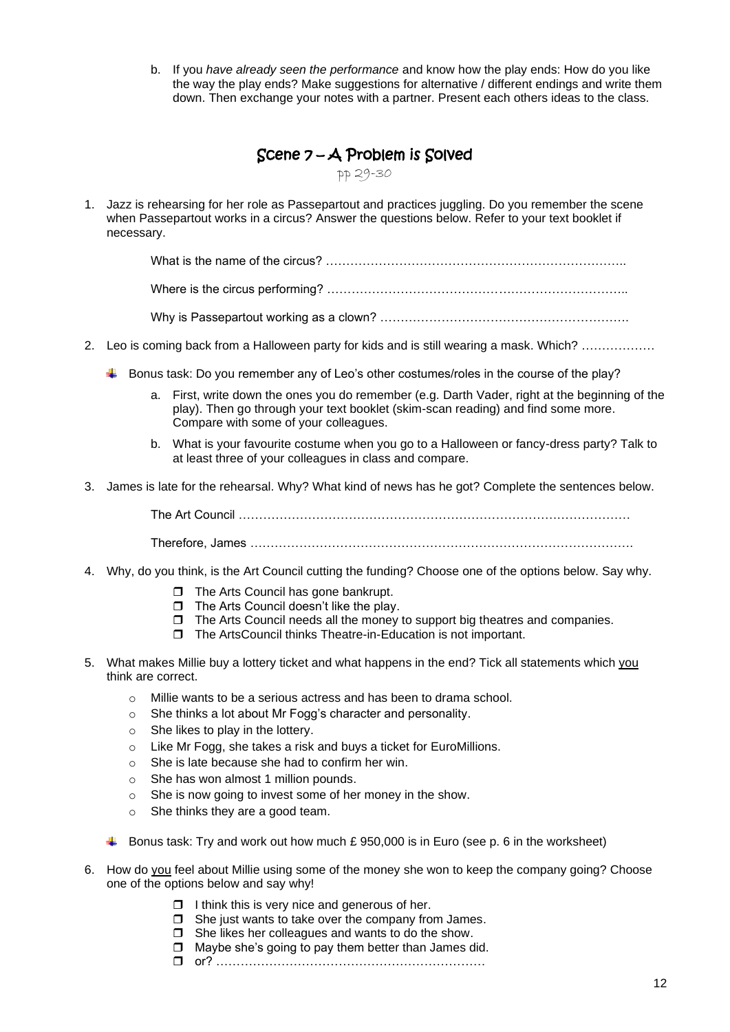b. If you *have already seen the performance* and know how the play ends: How do you like the way the play ends? Make suggestions for alternative / different endings and write them down. Then exchange your notes with a partner. Present each others ideas to the class.

| $\beta$ Cene $7 - A$ Problem is $\beta$ olved |  |  |
|-----------------------------------------------|--|--|
|-----------------------------------------------|--|--|

pp 29-30

1. Jazz is rehearsing for her role as Passepartout and practices juggling. Do you remember the scene when Passepartout works in a circus? Answer the questions below. Refer to your text booklet if necessary.

What is the name of the circus? ………………………………………………………………..

Where is the circus performing? ………………………………………………………………..

Why is Passepartout working as a clown? …………………………………………………….

- 2. Leo is coming back from a Halloween party for kids and is still wearing a mask. Which? ………………
	- Bonus task: Do you remember any of Leo's other costumes/roles in the course of the play?
		- a. First, write down the ones you do remember (e.g. Darth Vader, right at the beginning of the play). Then go through your text booklet (skim-scan reading) and find some more. Compare with some of your colleagues.
		- b. What is your favourite costume when you go to a Halloween or fancy-dress party? Talk to at least three of your colleagues in class and compare.
- 3. James is late for the rehearsal. Why? What kind of news has he got? Complete the sentences below.

The Art Council …………………………………………………………………………………… Therefore, James ………………………………………………………………………………….

- 4. Why, do you think, is the Art Council cutting the funding? Choose one of the options below. Say why.
	- $\Box$  The Arts Council has gone bankrupt.
	- $\Box$  The Arts Council doesn't like the play.
	- $\Box$  The Arts Council needs all the money to support big theatres and companies.
	- □ The ArtsCouncil thinks Theatre-in-Education is not important.
- 5. What makes Millie buy a lottery ticket and what happens in the end? Tick all statements which you think are correct.
	- o Millie wants to be a serious actress and has been to drama school.
	- o She thinks a lot about Mr Fogg's character and personality.
	- o She likes to play in the lottery.
	- o Like Mr Fogg, she takes a risk and buys a ticket for EuroMillions.
	- o She is late because she had to confirm her win.
	- o She has won almost 1 million pounds.
	- o She is now going to invest some of her money in the show.
	- o She thinks they are a good team.
	- Bonus task: Try and work out how much £ 950,000 is in Euro (see p. 6 in the worksheet)
- 6. How do you feel about Millie using some of the money she won to keep the company going? Choose one of the options below and say why!
	- $\Box$  I think this is very nice and generous of her.
	- $\Box$  She just wants to take over the company from James.
	- $\Box$  She likes her colleagues and wants to do the show.
	- $\Box$  Maybe she's going to pay them better than James did.
	- or? …………………………………………………………